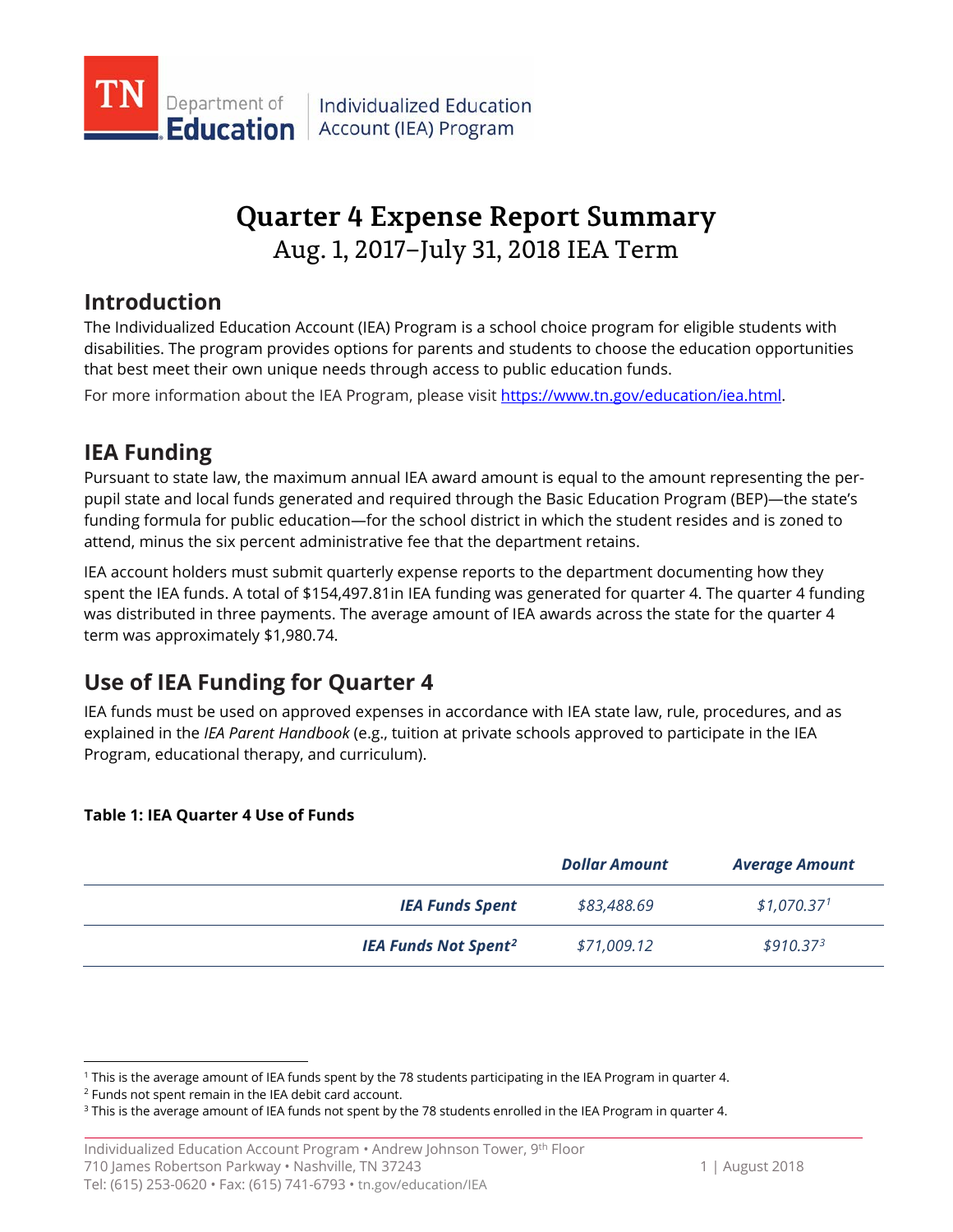

# **Quarter 4 Expense Report Summary** Aug. 1, 2017–July 31, 2018 IEA Term

## **Introduction**

The Individualized Education Account (IEA) Program is a school choice program for eligible students with disabilities. The program provides options for parents and students to choose the education opportunities that best meet their own unique needs through access to public education funds.

For more information about the IEA Program, please visit [https://www.tn.gov/education/iea.html.](https://www.tn.gov/education/iea.html)

## **IEA Funding**

Pursuant to state law, the maximum annual IEA award amount is equal to the amount representing the perpupil state and local funds generated and required through the Basic Education Program (BEP)—the state's funding formula for public education—for the school district in which the student resides and is zoned to attend, minus the six percent administrative fee that the department retains.

IEA account holders must submit quarterly expense reports to the department documenting how they spent the IEA funds. A total of \$154,497.81in IEA funding was generated for quarter 4. The quarter 4 funding was distributed in three payments. The average amount of IEA awards across the state for the quarter 4 term was approximately \$1,980.74.

## **Use of IEA Funding for Quarter 4**

IEA funds must be used on approved expenses in accordance with IEA state law, rule, procedures, and as explained in the *IEA Parent Handbook* (e.g., tuition at private schools approved to participate in the IEA Program, educational therapy, and curriculum).

### **Table 1: IEA Quarter 4 Use of Funds**

|                                        | <b>Dollar Amount</b> | <b>Average Amount</b>   |
|----------------------------------------|----------------------|-------------------------|
| <b>IEA Funds Spent</b>                 | \$83,488.69          | \$1,070.37 <sup>1</sup> |
| <b>IEA Funds Not Spent<sup>2</sup></b> | \$71,009.12          | \$910.37 <sup>3</sup>   |

<span id="page-0-0"></span><sup>&</sup>lt;sup>1</sup> This is the average amount of IEA funds spent by the 78 students participating in the IEA Program in quarter 4.  $^2$  Funds not spent remain in the IEA debit card account.

<span id="page-0-1"></span>

<span id="page-0-2"></span><sup>&</sup>lt;sup>3</sup> This is the average amount of IEA funds not spent by the 78 students enrolled in the IEA Program in quarter 4.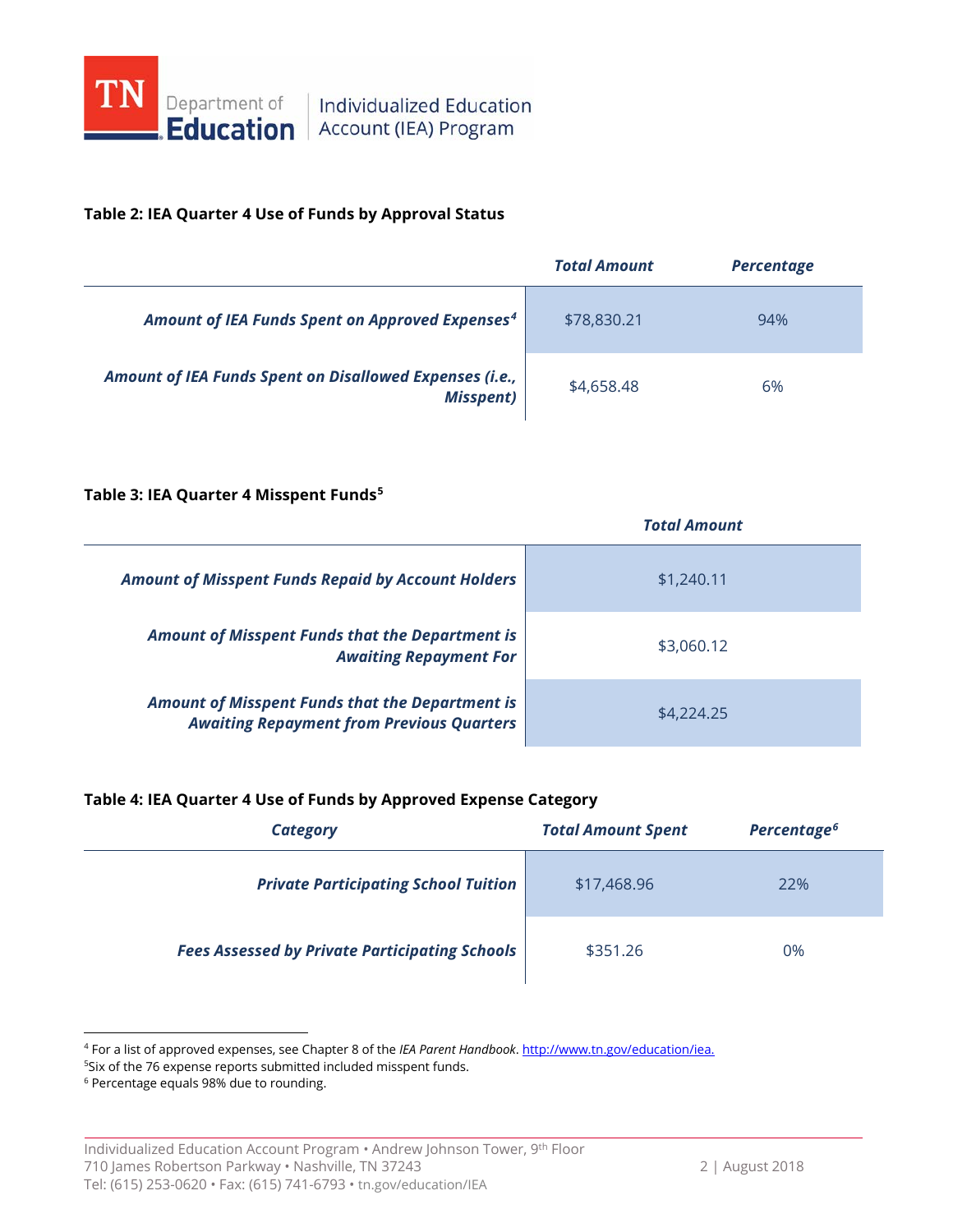

### **Table 2: IEA Quarter 4 Use of Funds by Approval Status**

|                                                                             | <b>Total Amount</b> | <b>Percentage</b> |
|-----------------------------------------------------------------------------|---------------------|-------------------|
| Amount of IEA Funds Spent on Approved Expenses <sup>4</sup>                 | \$78,830.21         | 94%               |
| Amount of IEA Funds Spent on Disallowed Expenses (i.e.,<br><b>Misspent)</b> | \$4,658.48          | 6%                |

#### **Table 3: IEA Quarter 4 Misspent Funds[5](#page-1-1)**

|                                                                                                            | <b>Total Amount</b> |
|------------------------------------------------------------------------------------------------------------|---------------------|
| <b>Amount of Misspent Funds Repaid by Account Holders</b>                                                  | \$1,240.11          |
| <b>Amount of Misspent Funds that the Department is</b><br><b>Awaiting Repayment For</b>                    | \$3,060.12          |
| <b>Amount of Misspent Funds that the Department is</b><br><b>Awaiting Repayment from Previous Quarters</b> | \$4,224.25          |

#### **Table 4: IEA Quarter 4 Use of Funds by Approved Expense Category**

| Category                                              | <b>Total Amount Spent</b> | Percentage <sup>6</sup> |
|-------------------------------------------------------|---------------------------|-------------------------|
| <b>Private Participating School Tuition</b>           | \$17,468.96               | 22%                     |
| <b>Fees Assessed by Private Participating Schools</b> | \$351.26                  | 0%                      |

<span id="page-1-0"></span> <sup>4</sup> For a list of approved expenses, see Chapter 8 of the *IEA Parent Handbook*[. http://www.tn.gov/education/iea.](http://www.tn.gov/education/iea)

<sup>5</sup> Six of the 76 expense reports submitted included misspent funds.

<span id="page-1-2"></span><span id="page-1-1"></span><sup>6</sup> Percentage equals 98% due to rounding.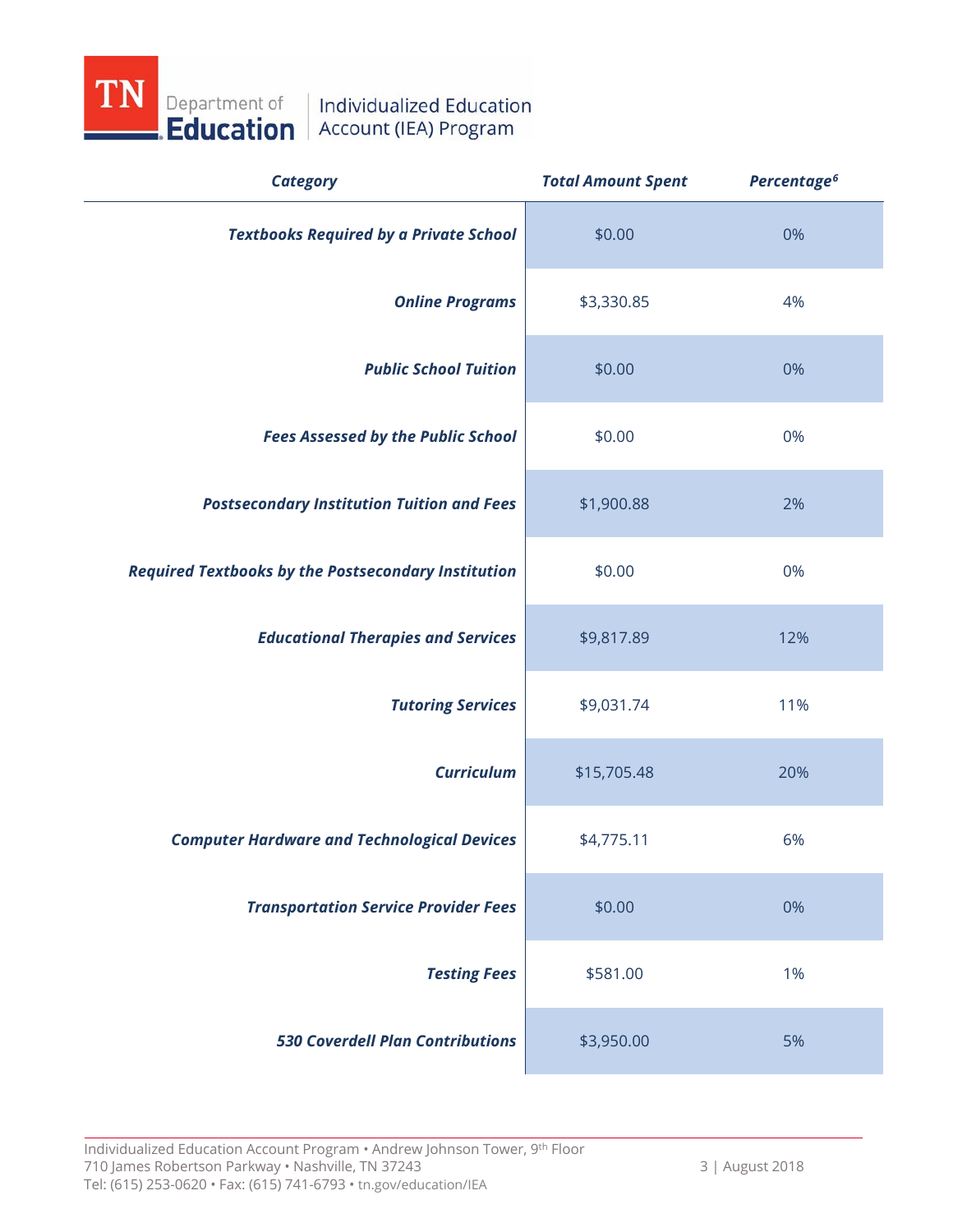

| <b>Category</b>                                            | <b>Total Amount Spent</b> | Percentage <sup>6</sup> |
|------------------------------------------------------------|---------------------------|-------------------------|
| <b>Textbooks Required by a Private School</b>              | \$0.00                    | 0%                      |
| <b>Online Programs</b>                                     | \$3,330.85                | 4%                      |
| <b>Public School Tuition</b>                               | \$0.00                    | 0%                      |
| <b>Fees Assessed by the Public School</b>                  | \$0.00                    | 0%                      |
| <b>Postsecondary Institution Tuition and Fees</b>          | \$1,900.88                | 2%                      |
| <b>Required Textbooks by the Postsecondary Institution</b> | \$0.00                    | 0%                      |
| <b>Educational Therapies and Services</b>                  | \$9,817.89                | 12%                     |
| <b>Tutoring Services</b>                                   | \$9,031.74                | 11%                     |
| <b>Curriculum</b>                                          | \$15,705.48               | 20%                     |
| <b>Computer Hardware and Technological Devices</b>         | \$4,775.11                | 6%                      |
| <b>Transportation Service Provider Fees</b>                | \$0.00                    | 0%                      |
| <b>Testing Fees</b>                                        | \$581.00                  | 1%                      |
| <b>530 Coverdell Plan Contributions</b>                    | \$3,950.00                | 5%                      |